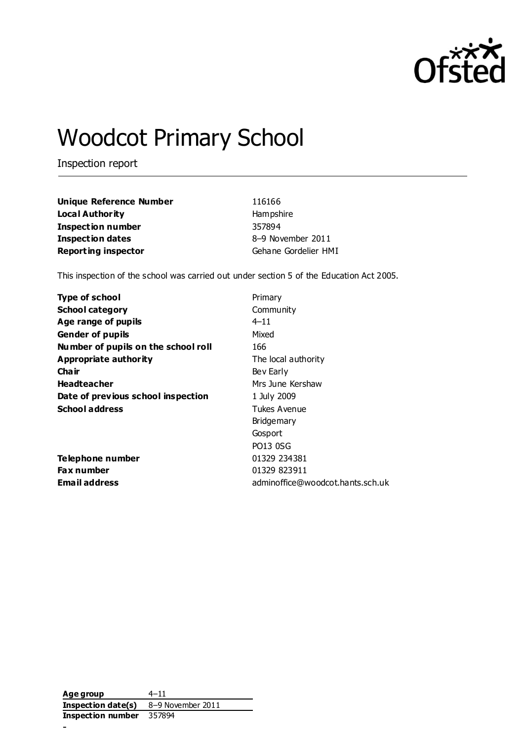

# Woodcot Primary School

Inspection report

| Unique Reference Number    | 116166               |
|----------------------------|----------------------|
| Local Authority            | Hampshire            |
| <b>Inspection number</b>   | 357894               |
| Inspection dates           | 8-9 November 2011    |
| <b>Reporting inspector</b> | Gehane Gordelier HMI |

This inspection of the school was carried out under section 5 of the Education Act 2005.

| <b>Type of school</b>               | Primary                          |
|-------------------------------------|----------------------------------|
| <b>School category</b>              | Community                        |
| Age range of pupils                 | $4 - 11$                         |
| <b>Gender of pupils</b>             | Mixed                            |
| Number of pupils on the school roll | 166                              |
| Appropriate authority               | The local authority              |
| Cha ir                              | Bev Early                        |
| <b>Headteacher</b>                  | Mrs June Kershaw                 |
| Date of previous school inspection  | 1 July 2009                      |
| <b>School address</b>               | Tukes Avenue                     |
|                                     | <b>Bridgemary</b>                |
|                                     | Gosport                          |
|                                     | <b>PO13 0SG</b>                  |
| Telephone number                    | 01329 234381                     |
| <b>Fax number</b>                   | 01329 823911                     |
| <b>Email address</b>                | adminoffice@woodcot.hants.sch.uk |

**Age group** 4–11 **Inspection date(s)** 8–9 November 2011 **Inspection number** 357894 -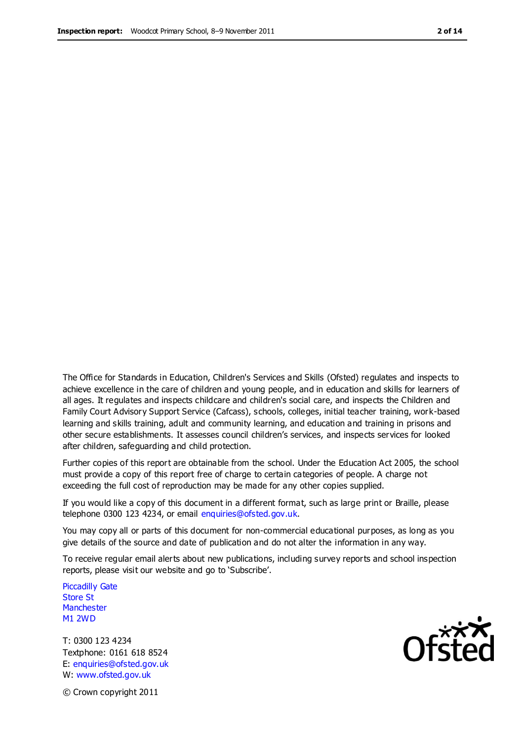The Office for Standards in Education, Children's Services and Skills (Ofsted) regulates and inspects to achieve excellence in the care of children and young people, and in education and skills for learners of all ages. It regulates and inspects childcare and children's social care, and inspects the Children and Family Court Advisory Support Service (Cafcass), schools, colleges, initial teacher training, work-based learning and skills training, adult and community learning, and education and training in prisons and other secure establishments. It assesses council children's services, and inspects services for looked after children, safeguarding and child protection.

Further copies of this report are obtainable from the school. Under the Education Act 2005, the school must provide a copy of this report free of charge to certain categories of people. A charge not exceeding the full cost of reproduction may be made for any other copies supplied.

If you would like a copy of this document in a different format, such as large print or Braille, please telephone 0300 123 4234, or email enquiries@ofsted.gov.uk.

You may copy all or parts of this document for non-commercial educational purposes, as long as you give details of the source and date of publication and do not alter the information in any way.

To receive regular email alerts about new publications, including survey reports and school inspection reports, please visit our website and go to 'Subscribe'.

Piccadilly Gate Store St **Manchester** M1 2WD

T: 0300 123 4234 Textphone: 0161 618 8524 E: enquiries@ofsted.gov.uk W: www.ofsted.gov.uk

**Ofsted** 

© Crown copyright 2011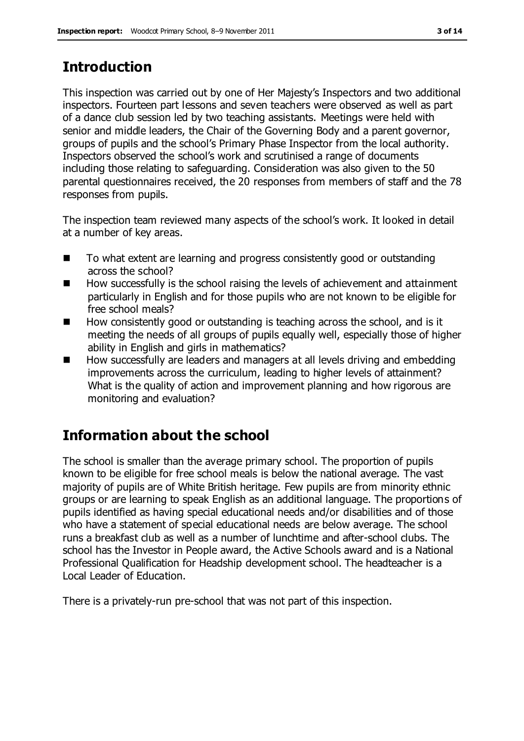# **Introduction**

This inspection was carried out by one of Her Majesty's Inspectors and two additional inspectors. Fourteen part lessons and seven teachers were observed as well as part of a dance club session led by two teaching assistants. Meetings were held with senior and middle leaders, the Chair of the Governing Body and a parent governor, groups of pupils and the school's Primary Phase Inspector from the local authority. Inspectors observed the school's work and scrutinised a range of documents including those relating to safeguarding. Consideration was also given to the 50 parental questionnaires received, the 20 responses from members of staff and the 78 responses from pupils.

The inspection team reviewed many aspects of the school's work. It looked in detail at a number of key areas.

- To what extent are learning and progress consistently good or outstanding across the school?
- How successfully is the school raising the levels of achievement and attainment particularly in English and for those pupils who are not known to be eligible for free school meals?
- How consistently good or outstanding is teaching across the school, and is it meeting the needs of all groups of pupils equally well, especially those of higher ability in English and girls in mathematics?
- How successfully are leaders and managers at all levels driving and embedding improvements across the curriculum, leading to higher levels of attainment? What is the quality of action and improvement planning and how rigorous are monitoring and evaluation?

# **Information about the school**

The school is smaller than the average primary school. The proportion of pupils known to be eligible for free school meals is below the national average. The vast majority of pupils are of White British heritage. Few pupils are from minority ethnic groups or are learning to speak English as an additional language. The proportions of pupils identified as having special educational needs and/or disabilities and of those who have a statement of special educational needs are below average. The school runs a breakfast club as well as a number of lunchtime and after-school clubs. The school has the Investor in People award, the Active Schools award and is a National Professional Qualification for Headship development school. The headteacher is a Local Leader of Education.

There is a privately-run pre-school that was not part of this inspection.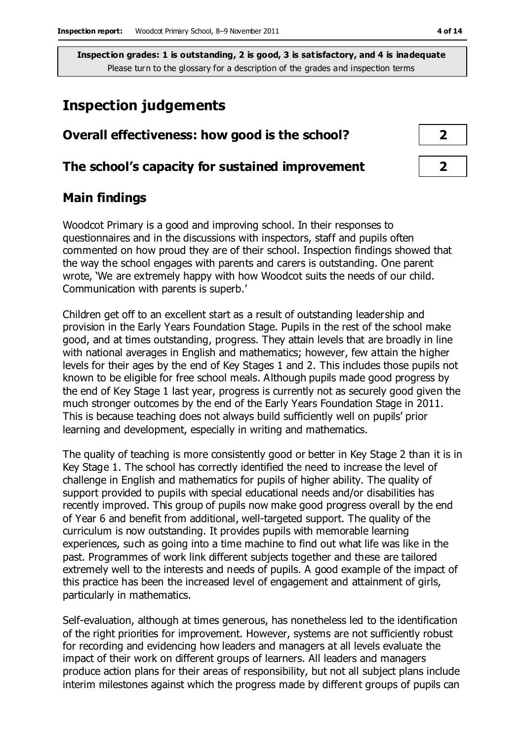# **Inspection judgements**

# **Overall effectiveness: how good is the school? 2**

#### **The school's capacity for sustained improvement 2**

## **Main findings**

Woodcot Primary is a good and improving school. In their responses to questionnaires and in the discussions with inspectors, staff and pupils often commented on how proud they are of their school. Inspection findings showed that the way the school engages with parents and carers is outstanding. One parent wrote, 'We are extremely happy with how Woodcot suits the needs of our child. Communication with parents is superb.'

Children get off to an excellent start as a result of outstanding leadership and provision in the Early Years Foundation Stage. Pupils in the rest of the school make good, and at times outstanding, progress. They attain levels that are broadly in line with national averages in English and mathematics; however, few attain the higher levels for their ages by the end of Key Stages 1 and 2. This includes those pupils not known to be eligible for free school meals. Although pupils made good progress by the end of Key Stage 1 last year, progress is currently not as securely good given the much stronger outcomes by the end of the Early Years Foundation Stage in 2011. This is because teaching does not always build sufficiently well on pupils' prior learning and development, especially in writing and mathematics.

The quality of teaching is more consistently good or better in Key Stage 2 than it is in Key Stage 1. The school has correctly identified the need to increase the level of challenge in English and mathematics for pupils of higher ability. The quality of support provided to pupils with special educational needs and/or disabilities has recently improved. This group of pupils now make good progress overall by the end of Year 6 and benefit from additional, well-targeted support. The quality of the curriculum is now outstanding. It provides pupils with memorable learning experiences, such as going into a time machine to find out what life was like in the past. Programmes of work link different subjects together and these are tailored extremely well to the interests and needs of pupils. A good example of the impact of this practice has been the increased level of engagement and attainment of girls, particularly in mathematics.

Self-evaluation, although at times generous, has nonetheless led to the identification of the right priorities for improvement. However, systems are not sufficiently robust for recording and evidencing how leaders and managers at all levels evaluate the impact of their work on different groups of learners. All leaders and managers produce action plans for their areas of responsibility, but not all subject plans include interim milestones against which the progress made by different groups of pupils can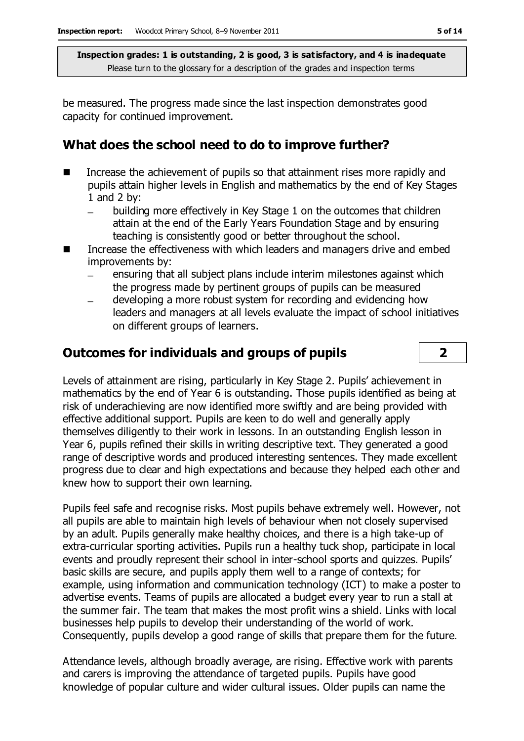be measured. The progress made since the last inspection demonstrates good capacity for continued improvement.

### **What does the school need to do to improve further?**

- Increase the achievement of pupils so that attainment rises more rapidly and pupils attain higher levels in English and mathematics by the end of Key Stages 1 and 2 by:
	- building more effectively in Key Stage 1 on the outcomes that children attain at the end of the Early Years Foundation Stage and by ensuring teaching is consistently good or better throughout the school.
- Increase the effectiveness with which leaders and managers drive and embed improvements by:
	- ensuring that all subject plans include interim milestones against which the progress made by pertinent groups of pupils can be measured
	- developing a more robust system for recording and evidencing how leaders and managers at all levels evaluate the impact of school initiatives on different groups of learners.

## **Outcomes for individuals and groups of pupils 2**

Levels of attainment are rising, particularly in Key Stage 2. Pupils' achievement in mathematics by the end of Year 6 is outstanding. Those pupils identified as being at risk of underachieving are now identified more swiftly and are being provided with effective additional support. Pupils are keen to do well and generally apply themselves diligently to their work in lessons. In an outstanding English lesson in Year 6, pupils refined their skills in writing descriptive text. They generated a good range of descriptive words and produced interesting sentences. They made excellent progress due to clear and high expectations and because they helped each other and knew how to support their own learning.

Pupils feel safe and recognise risks. Most pupils behave extremely well. However, not all pupils are able to maintain high levels of behaviour when not closely supervised by an adult. Pupils generally make healthy choices, and there is a high take-up of extra-curricular sporting activities. Pupils run a healthy tuck shop, participate in local events and proudly represent their school in inter-school sports and quizzes. Pupils' basic skills are secure, and pupils apply them well to a range of contexts; for example, using information and communication technology (ICT) to make a poster to advertise events. Teams of pupils are allocated a budget every year to run a stall at the summer fair. The team that makes the most profit wins a shield. Links with local businesses help pupils to develop their understanding of the world of work. Consequently, pupils develop a good range of skills that prepare them for the future.

Attendance levels, although broadly average, are rising. Effective work with parents and carers is improving the attendance of targeted pupils. Pupils have good knowledge of popular culture and wider cultural issues. Older pupils can name the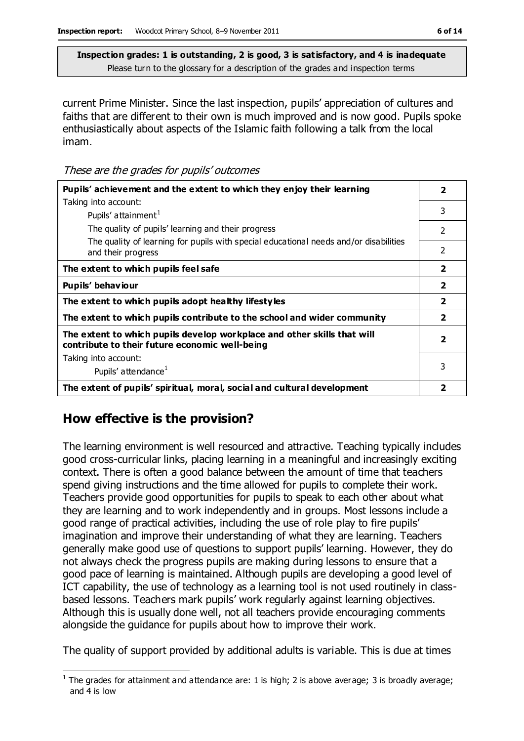current Prime Minister. Since the last inspection, pupils' appreciation of cultures and faiths that are different to their own is much improved and is now good. Pupils spoke enthusiastically about aspects of the Islamic faith following a talk from the local imam.

These are the grades for pupils' outcomes

| Pupils' achievement and the extent to which they enjoy their learning                                                     |                         |  |
|---------------------------------------------------------------------------------------------------------------------------|-------------------------|--|
| Taking into account:                                                                                                      |                         |  |
| Pupils' attainment <sup>1</sup>                                                                                           | 3                       |  |
| The quality of pupils' learning and their progress                                                                        | $\mathcal{P}$           |  |
| The quality of learning for pupils with special educational needs and/or disabilities<br>and their progress               | 2                       |  |
| The extent to which pupils feel safe                                                                                      | $\overline{\mathbf{2}}$ |  |
| Pupils' behaviour                                                                                                         | $\overline{2}$          |  |
| The extent to which pupils adopt healthy lifestyles                                                                       | $\overline{\mathbf{2}}$ |  |
| The extent to which pupils contribute to the school and wider community                                                   | $\overline{\mathbf{2}}$ |  |
| The extent to which pupils develop workplace and other skills that will<br>contribute to their future economic well-being | $\overline{\mathbf{2}}$ |  |
| Taking into account:                                                                                                      |                         |  |
| Pupils' attendance <sup>1</sup>                                                                                           | 3                       |  |
| The extent of pupils' spiritual, moral, social and cultural development                                                   | 2                       |  |

## **How effective is the provision?**

The learning environment is well resourced and attractive. Teaching typically includes good cross-curricular links, placing learning in a meaningful and increasingly exciting context. There is often a good balance between the amount of time that teachers spend giving instructions and the time allowed for pupils to complete their work. Teachers provide good opportunities for pupils to speak to each other about what they are learning and to work independently and in groups. Most lessons include a good range of practical activities, including the use of role play to fire pupils' imagination and improve their understanding of what they are learning. Teachers generally make good use of questions to support pupils' learning. However, they do not always check the progress pupils are making during lessons to ensure that a good pace of learning is maintained. Although pupils are developing a good level of ICT capability, the use of technology as a learning tool is not used routinely in classbased lessons. Teachers mark pupils' work regularly against learning objectives. Although this is usually done well, not all teachers provide encouraging comments alongside the guidance for pupils about how to improve their work.

The quality of support provided by additional adults is variable. This is due at times

 $\overline{a}$ <sup>1</sup> The grades for attainment and attendance are: 1 is high; 2 is above average; 3 is broadly average; and 4 is low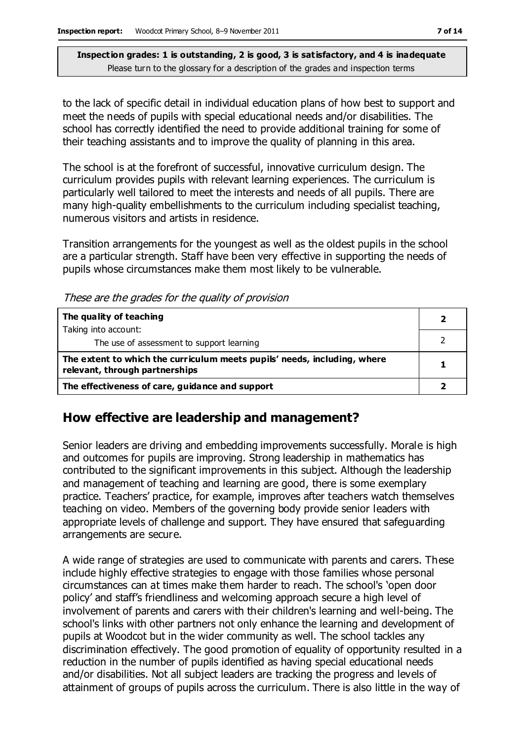to the lack of specific detail in individual education plans of how best to support and meet the needs of pupils with special educational needs and/or disabilities. The school has correctly identified the need to provide additional training for some of their teaching assistants and to improve the quality of planning in this area.

The school is at the forefront of successful, innovative curriculum design. The curriculum provides pupils with relevant learning experiences. The curriculum is particularly well tailored to meet the interests and needs of all pupils. There are many high-quality embellishments to the curriculum including specialist teaching, numerous visitors and artists in residence.

Transition arrangements for the youngest as well as the oldest pupils in the school are a particular strength. Staff have been very effective in supporting the needs of pupils whose circumstances make them most likely to be vulnerable.

These are the grades for the quality of provision

| The quality of teaching                                                                                    |  |
|------------------------------------------------------------------------------------------------------------|--|
| Taking into account:                                                                                       |  |
| The use of assessment to support learning                                                                  |  |
| The extent to which the curriculum meets pupils' needs, including, where<br>relevant, through partnerships |  |
| The effectiveness of care, guidance and support                                                            |  |

#### **How effective are leadership and management?**

Senior leaders are driving and embedding improvements successfully. Morale is high and outcomes for pupils are improving. Strong leadership in mathematics has contributed to the significant improvements in this subject. Although the leadership and management of teaching and learning are good, there is some exemplary practice. Teachers' practice, for example, improves after teachers watch themselves teaching on video. Members of the governing body provide senior leaders with appropriate levels of challenge and support. They have ensured that safeguarding arrangements are secure.

A wide range of strategies are used to communicate with parents and carers. These include highly effective strategies to engage with those families whose personal circumstances can at times make them harder to reach. The school's 'open door policy' and staff's friendliness and welcoming approach secure a high level of involvement of parents and carers with their children's learning and well-being. The school's links with other partners not only enhance the learning and development of pupils at Woodcot but in the wider community as well. The school tackles any discrimination effectively. The good promotion of equality of opportunity resulted in a reduction in the number of pupils identified as having special educational needs and/or disabilities. Not all subject leaders are tracking the progress and levels of attainment of groups of pupils across the curriculum. There is also little in the way of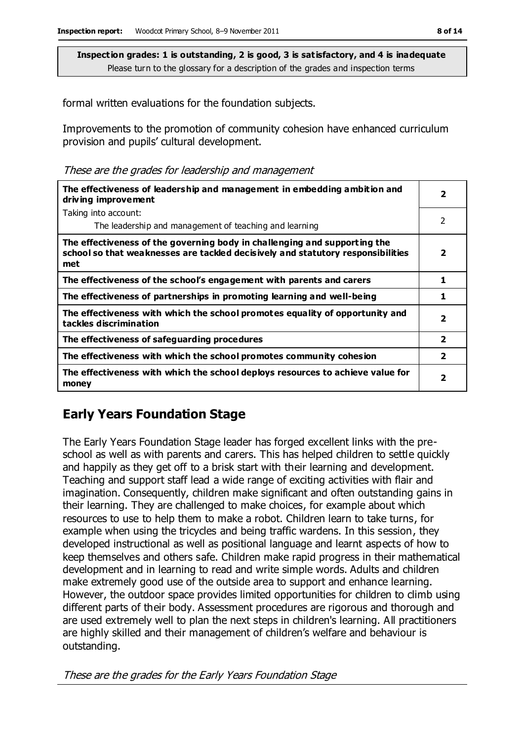formal written evaluations for the foundation subjects.

Improvements to the promotion of community cohesion have enhanced curriculum provision and pupils' cultural development.

These are the grades for leadership and management

| The effectiveness of leadership and management in embedding ambition and<br>driving improvement                                                                     | $\overline{\mathbf{2}}$ |
|---------------------------------------------------------------------------------------------------------------------------------------------------------------------|-------------------------|
| Taking into account:                                                                                                                                                |                         |
| The leadership and management of teaching and learning                                                                                                              | 2                       |
| The effectiveness of the governing body in challenging and supporting the<br>school so that weaknesses are tackled decisively and statutory responsibilities<br>met | $\overline{\mathbf{2}}$ |
| The effectiveness of the school's engagement with parents and carers                                                                                                | 1                       |
| The effectiveness of partnerships in promoting learning and well-being                                                                                              | 1                       |
| The effectiveness with which the school promotes equality of opportunity and<br>tackles discrimination                                                              | $\overline{\mathbf{2}}$ |
| The effectiveness of safeguarding procedures                                                                                                                        | $\overline{2}$          |
| The effectiveness with which the school promotes community cohesion                                                                                                 | $\overline{2}$          |
| The effectiveness with which the school deploys resources to achieve value for<br>money                                                                             | 2                       |

# **Early Years Foundation Stage**

The Early Years Foundation Stage leader has forged excellent links with the preschool as well as with parents and carers. This has helped children to settle quickly and happily as they get off to a brisk start with their learning and development. Teaching and support staff lead a wide range of exciting activities with flair and imagination. Consequently, children make significant and often outstanding gains in their learning. They are challenged to make choices, for example about which resources to use to help them to make a robot. Children learn to take turns, for example when using the tricycles and being traffic wardens. In this session, they developed instructional as well as positional language and learnt aspects of how to keep themselves and others safe. Children make rapid progress in their mathematical development and in learning to read and write simple words. Adults and children make extremely good use of the outside area to support and enhance learning. However, the outdoor space provides limited opportunities for children to climb using different parts of their body. Assessment procedures are rigorous and thorough and are used extremely well to plan the next steps in children's learning. All practitioners are highly skilled and their management of children's welfare and behaviour is outstanding.

These are the grades for the Early Years Foundation Stage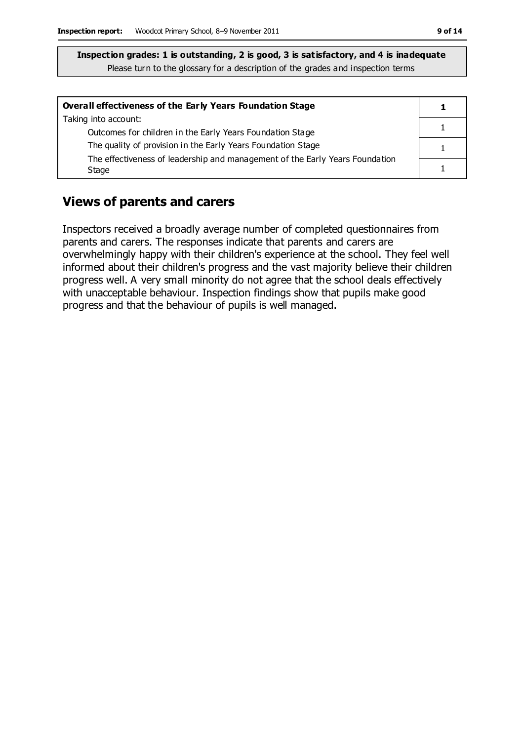| Overall effectiveness of the Early Years Foundation Stage                    |  |
|------------------------------------------------------------------------------|--|
| Taking into account:                                                         |  |
| Outcomes for children in the Early Years Foundation Stage                    |  |
| The quality of provision in the Early Years Foundation Stage                 |  |
| The effectiveness of leadership and management of the Early Years Foundation |  |
| Stage                                                                        |  |

## **Views of parents and carers**

Inspectors received a broadly average number of completed questionnaires from parents and carers. The responses indicate that parents and carers are overwhelmingly happy with their children's experience at the school. They feel well informed about their children's progress and the vast majority believe their children progress well. A very small minority do not agree that the school deals effectively with unacceptable behaviour. Inspection findings show that pupils make good progress and that the behaviour of pupils is well managed.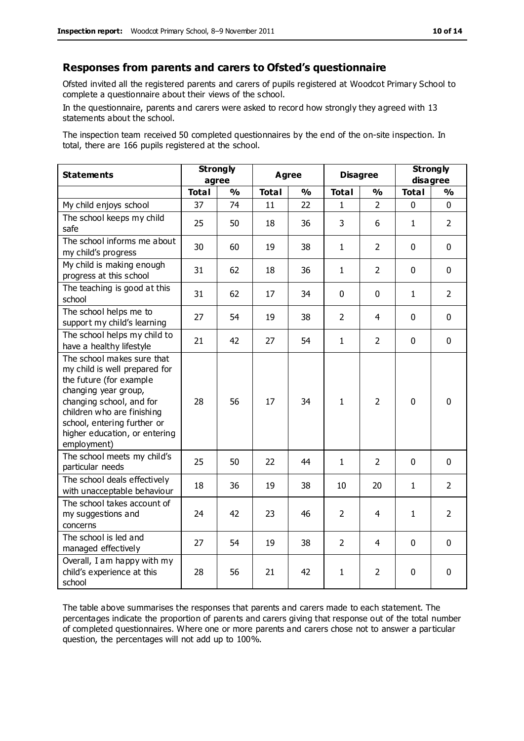#### **Responses from parents and carers to Ofsted's questionnaire**

Ofsted invited all the registered parents and carers of pupils registered at Woodcot Primary School to complete a questionnaire about their views of the school.

In the questionnaire, parents and carers were asked to record how strongly they agreed with 13 statements about the school.

The inspection team received 50 completed questionnaires by the end of the on-site inspection. In total, there are 166 pupils registered at the school.

| <b>Statements</b>                                                                                                                                                                                                                                       | <b>Strongly</b><br>agree |               | <b>Agree</b> |               | <b>Disagree</b> |                | <b>Strongly</b><br>disagree |                |
|---------------------------------------------------------------------------------------------------------------------------------------------------------------------------------------------------------------------------------------------------------|--------------------------|---------------|--------------|---------------|-----------------|----------------|-----------------------------|----------------|
|                                                                                                                                                                                                                                                         | <b>Total</b>             | $\frac{0}{0}$ | <b>Total</b> | $\frac{1}{2}$ | <b>Total</b>    | $\frac{0}{0}$  | <b>Total</b>                | $\frac{1}{2}$  |
| My child enjoys school                                                                                                                                                                                                                                  | 37                       | 74            | 11           | 22            | 1               | $\mathcal{P}$  | 0                           | $\Omega$       |
| The school keeps my child<br>safe                                                                                                                                                                                                                       | 25                       | 50            | 18           | 36            | 3               | 6              | $\mathbf{1}$                | $\overline{2}$ |
| The school informs me about<br>my child's progress                                                                                                                                                                                                      | 30                       | 60            | 19           | 38            | $\mathbf{1}$    | $\overline{2}$ | $\mathbf 0$                 | $\mathbf 0$    |
| My child is making enough<br>progress at this school                                                                                                                                                                                                    | 31                       | 62            | 18           | 36            | $\mathbf{1}$    | $\overline{2}$ | $\mathbf 0$                 | $\mathbf 0$    |
| The teaching is good at this<br>school                                                                                                                                                                                                                  | 31                       | 62            | 17           | 34            | 0               | $\mathbf 0$    | $\mathbf{1}$                | $\overline{2}$ |
| The school helps me to<br>support my child's learning                                                                                                                                                                                                   | 27                       | 54            | 19           | 38            | $\overline{2}$  | 4              | $\mathbf 0$                 | $\mathbf 0$    |
| The school helps my child to<br>have a healthy lifestyle                                                                                                                                                                                                | 21                       | 42            | 27           | 54            | $\mathbf{1}$    | $\overline{2}$ | $\mathbf 0$                 | $\mathbf 0$    |
| The school makes sure that<br>my child is well prepared for<br>the future (for example<br>changing year group,<br>changing school, and for<br>children who are finishing<br>school, entering further or<br>higher education, or entering<br>employment) | 28                       | 56            | 17           | 34            | $\mathbf{1}$    | $\overline{2}$ | $\mathbf 0$                 | $\mathbf 0$    |
| The school meets my child's<br>particular needs                                                                                                                                                                                                         | 25                       | 50            | 22           | 44            | $\mathbf{1}$    | $\overline{2}$ | $\mathbf 0$                 | $\mathbf 0$    |
| The school deals effectively<br>with unacceptable behaviour                                                                                                                                                                                             | 18                       | 36            | 19           | 38            | 10              | 20             | 1                           | $\overline{2}$ |
| The school takes account of<br>my suggestions and<br>concerns                                                                                                                                                                                           | 24                       | 42            | 23           | 46            | $\overline{2}$  | 4              | $\mathbf{1}$                | $\overline{2}$ |
| The school is led and<br>managed effectively                                                                                                                                                                                                            | 27                       | 54            | 19           | 38            | $\overline{2}$  | 4              | $\mathbf 0$                 | $\mathbf 0$    |
| Overall, I am happy with my<br>child's experience at this<br>school                                                                                                                                                                                     | 28                       | 56            | 21           | 42            | $\mathbf{1}$    | 2              | $\mathbf 0$                 | 0              |

The table above summarises the responses that parents and carers made to each statement. The percentages indicate the proportion of parents and carers giving that response out of the total number of completed questionnaires. Where one or more parents and carers chose not to answer a particular question, the percentages will not add up to 100%.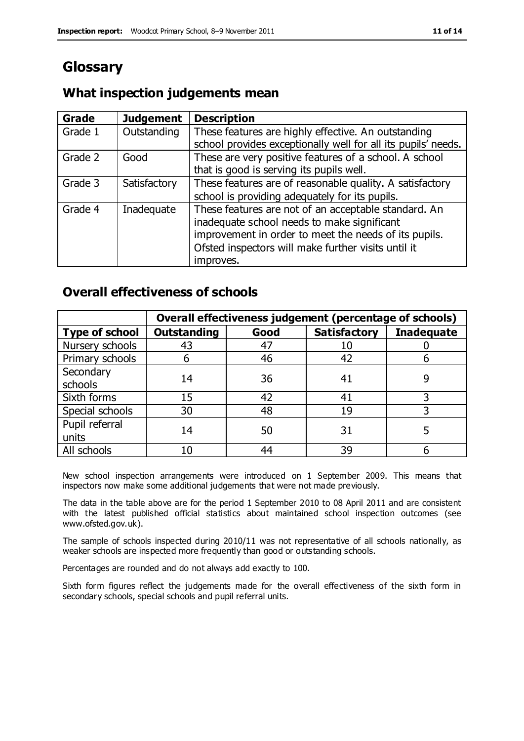# **Glossary**

## **What inspection judgements mean**

| <b>Grade</b> | <b>Judgement</b> | <b>Description</b>                                                                                                                                                                                                               |
|--------------|------------------|----------------------------------------------------------------------------------------------------------------------------------------------------------------------------------------------------------------------------------|
| Grade 1      | Outstanding      | These features are highly effective. An outstanding<br>school provides exceptionally well for all its pupils' needs.                                                                                                             |
| Grade 2      | Good             | These are very positive features of a school. A school<br>that is good is serving its pupils well.                                                                                                                               |
| Grade 3      | Satisfactory     | These features are of reasonable quality. A satisfactory<br>school is providing adequately for its pupils.                                                                                                                       |
| Grade 4      | Inadequate       | These features are not of an acceptable standard. An<br>inadequate school needs to make significant<br>improvement in order to meet the needs of its pupils.<br>Ofsted inspectors will make further visits until it<br>improves. |

## **Overall effectiveness of schools**

|                         | Overall effectiveness judgement (percentage of schools) |      |                     |                   |
|-------------------------|---------------------------------------------------------|------|---------------------|-------------------|
| <b>Type of school</b>   | <b>Outstanding</b>                                      | Good | <b>Satisfactory</b> | <b>Inadequate</b> |
| Nursery schools         | 43                                                      | 47   |                     |                   |
| Primary schools         |                                                         | 46   | 42                  |                   |
| Secondary<br>schools    | 14                                                      | 36   | 41                  |                   |
| Sixth forms             | 15                                                      | 42   | 41                  | 3                 |
| Special schools         | 30                                                      | 48   | 19                  |                   |
| Pupil referral<br>units | 14                                                      | 50   | 31                  |                   |
| All schools             | 10                                                      | 44   | 39                  |                   |

New school inspection arrangements were introduced on 1 September 2009. This means that inspectors now make some additional judgements that were not made previously.

The data in the table above are for the period 1 September 2010 to 08 April 2011 and are consistent with the latest published official statistics about maintained school inspection outcomes (see www.ofsted.gov.uk).

The sample of schools inspected during 2010/11 was not representative of all schools nationally, as weaker schools are inspected more frequently than good or outstanding schools.

Percentages are rounded and do not always add exactly to 100.

Sixth form figures reflect the judgements made for the overall effectiveness of the sixth form in secondary schools, special schools and pupil referral units.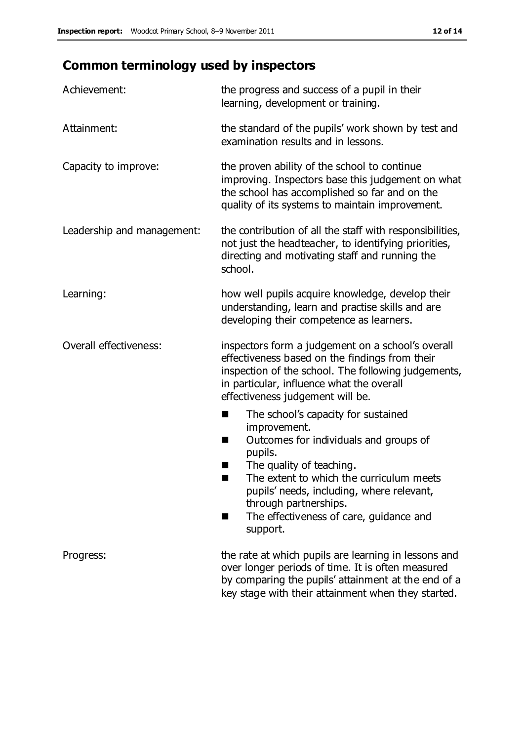# **Common terminology used by inspectors**

| Achievement:               | the progress and success of a pupil in their<br>learning, development or training.                                                                                                                                                                                                                                                |
|----------------------------|-----------------------------------------------------------------------------------------------------------------------------------------------------------------------------------------------------------------------------------------------------------------------------------------------------------------------------------|
| Attainment:                | the standard of the pupils' work shown by test and<br>examination results and in lessons.                                                                                                                                                                                                                                         |
| Capacity to improve:       | the proven ability of the school to continue<br>improving. Inspectors base this judgement on what<br>the school has accomplished so far and on the<br>quality of its systems to maintain improvement.                                                                                                                             |
| Leadership and management: | the contribution of all the staff with responsibilities,<br>not just the headteacher, to identifying priorities,<br>directing and motivating staff and running the<br>school.                                                                                                                                                     |
| Learning:                  | how well pupils acquire knowledge, develop their<br>understanding, learn and practise skills and are<br>developing their competence as learners.                                                                                                                                                                                  |
| Overall effectiveness:     | inspectors form a judgement on a school's overall<br>effectiveness based on the findings from their<br>inspection of the school. The following judgements,<br>in particular, influence what the overall<br>effectiveness judgement will be.                                                                                       |
|                            | The school's capacity for sustained<br>■<br>improvement.<br>Outcomes for individuals and groups of<br>H<br>pupils.<br>The quality of teaching.<br>ш<br>The extent to which the curriculum meets<br>pupils' needs, including, where relevant,<br>through partnerships.<br>The effectiveness of care, guidance and<br>٠<br>support. |
| Progress:                  | the rate at which pupils are learning in lessons and<br>over longer periods of time. It is often measured<br>by comparing the pupils' attainment at the end of a<br>key stage with their attainment when they started.                                                                                                            |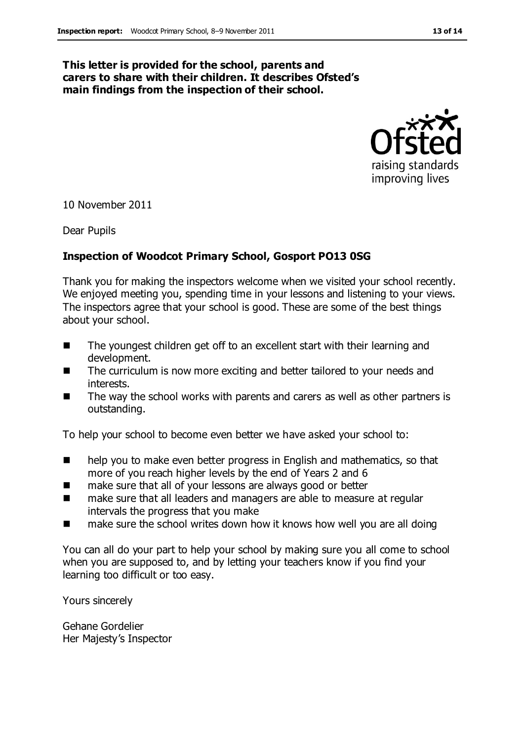#### **This letter is provided for the school, parents and carers to share with their children. It describes Ofsted's main findings from the inspection of their school.**



10 November 2011

Dear Pupils

#### **Inspection of Woodcot Primary School, Gosport PO13 0SG**

Thank you for making the inspectors welcome when we visited your school recently. We enjoyed meeting you, spending time in your lessons and listening to your views. The inspectors agree that your school is good. These are some of the best things about your school.

- The youngest children get off to an excellent start with their learning and development.
- The curriculum is now more exciting and better tailored to your needs and interests.
- The way the school works with parents and carers as well as other partners is outstanding.

To help your school to become even better we have asked your school to:

- help you to make even better progress in English and mathematics, so that more of you reach higher levels by the end of Years 2 and 6
- make sure that all of your lessons are always good or better
- make sure that all leaders and managers are able to measure at regular intervals the progress that you make
- make sure the school writes down how it knows how well you are all doing

You can all do your part to help your school by making sure you all come to school when you are supposed to, and by letting your teachers know if you find your learning too difficult or too easy.

Yours sincerely

Gehane Gordelier Her Majesty's Inspector